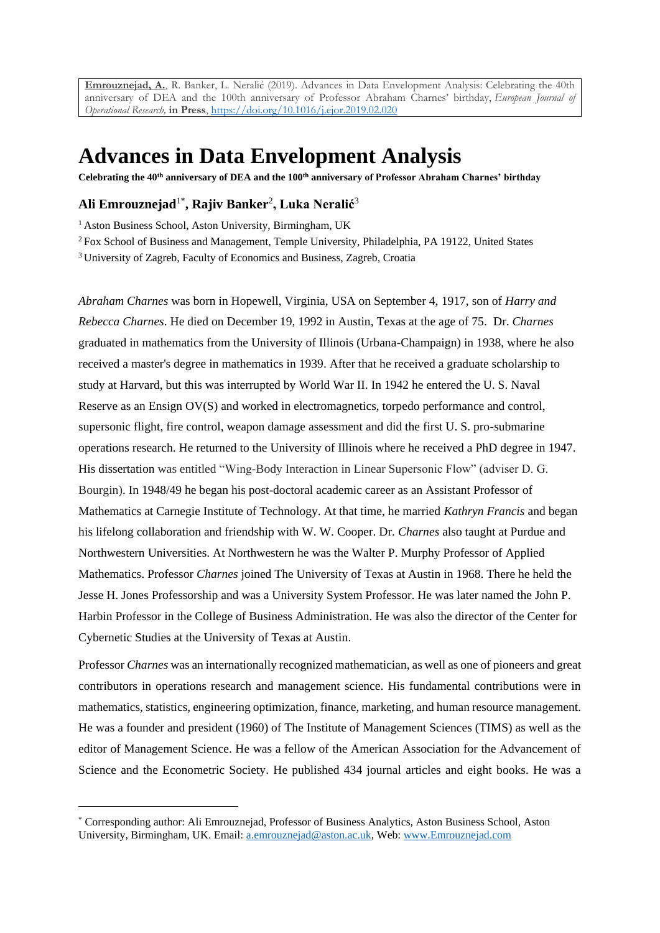**Emrouznejad, A.**, R. Banker, L. Neralić (2019). Advances in Data Envelopment Analysis: Celebrating the 40th anniversary of DEA and the 100th anniversary of Professor Abraham Charnes' birthday, *European Journal of Operational Research,* **in Press**[, https://doi.org/10.1016/j.ejor.2019.02.020](https://doi.org/10.1016/j.ejor.2019.02.020)

## **Advances in Data Envelopment Analysis**

**Celebrating the 40th anniversary of DEA and the 100th anniversary of Professor Abraham Charnes' birthday**

## **Ali Emrouznejad**1\* **, Rajiv Banker**<sup>2</sup> **, Luka Neralić**<sup>3</sup>

<sup>1</sup> Aston Business School, Aston University, Birmingham, UK

<sup>2</sup>Fox School of Business and Management, Temple University, Philadelphia, PA 19122, United States

<sup>3</sup>University of Zagreb, Faculty of Economics and Business, Zagreb, Croatia

*Abraham Charnes* was born in Hopewell, Virginia, USA on September 4, 1917, son of *Harry and Rebecca Charnes*. He died on December 19, 1992 in Austin, Texas at the age of 75. Dr. *Charnes* graduated in mathematics from the University of Illinois (Urbana-Champaign) in 1938, where he also received a master's degree in mathematics in 1939. After that he received a graduate scholarship to study at Harvard, but this was interrupted by World War II. In 1942 he entered the U. S. Naval Reserve as an Ensign OV(S) and worked in electromagnetics, torpedo performance and control, supersonic flight, fire control, weapon damage assessment and did the first U. S. pro-submarine operations research. He returned to the University of Illinois where he received a PhD degree in 1947. His dissertation was entitled "Wing-Body Interaction in Linear Supersonic Flow" (adviser D. G. Bourgin). In 1948/49 he began his post-doctoral academic career as an Assistant Professor of Mathematics at Carnegie Institute of Technology. At that time, he married *Kathryn Francis* and began his lifelong collaboration and friendship with W. W. Cooper. Dr. *Charnes* also taught at Purdue and Northwestern Universities. At Northwestern he was the Walter P. Murphy Professor of Applied Mathematics. Professor *Charnes* joined The University of Texas at Austin in 1968. There he held the Jesse H. Jones Professorship and was a University System Professor. He was later named the John P. Harbin Professor in the College of Business Administration. He was also the director of the Center for Cybernetic Studies at the University of Texas at Austin.

Professor *Charnes* was an internationally recognized mathematician, as well as one of pioneers and great contributors in operations research and management science. His fundamental contributions were in mathematics, statistics, engineering optimization, finance, marketing, and human resource management. He was a founder and president (1960) of The Institute of Management Sciences (TIMS) as well as the editor of Management Science. He was a fellow of the American Association for the Advancement of Science and the Econometric Society. He published 434 journal articles and eight books. He was a

**.** 

<sup>\*</sup> Corresponding author: Ali Emrouznejad, Professor of Business Analytics, Aston Business School, Aston University, Birmingham, UK. Email: [a.emrouznejad@aston.ac.uk,](mailto:a.emrouznejad@aston.ac.uk) Web: [www.Emrouznejad.com](http://www.emrouznejad.com/)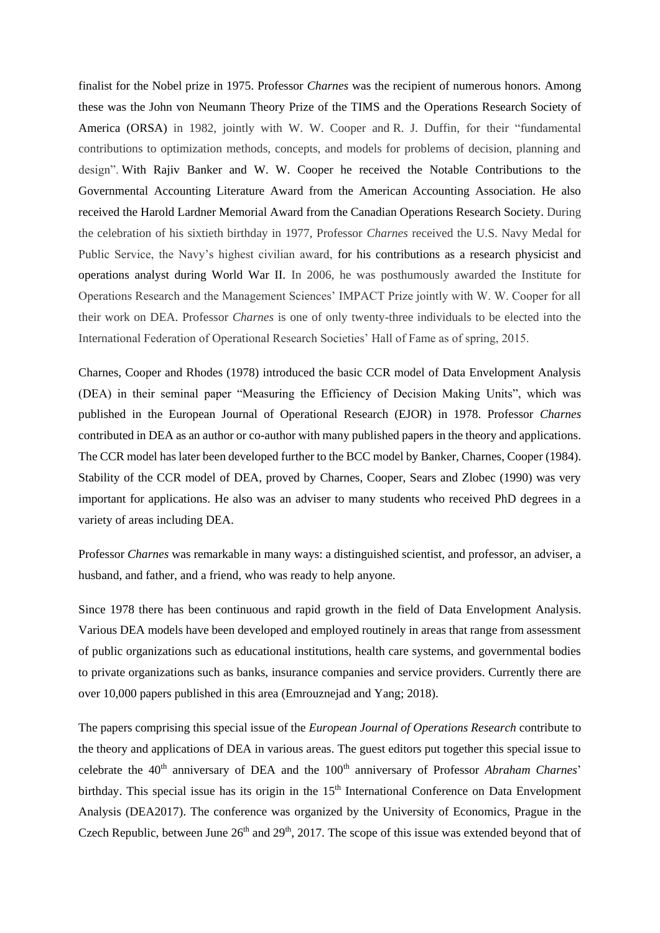finalist for the Nobel prize in 1975. Professor *Charnes* was the recipient of numerous honors. Among these was the John von Neumann Theory Prize of the TIMS and the Operations Research Society of America (ORSA) in 1982, jointly with W. W. Cooper and R. J. Duffin, for their "fundamental contributions to optimization methods, concepts, and models for problems of decision, planning and design". With Rajiv Banker and W. W. Cooper he received the Notable Contributions to the Governmental Accounting Literature Award from the American Accounting Association. He also received the Harold Lardner Memorial Award from the Canadian Operations Research Society. During the celebration of his sixtieth birthday in 1977, Professor *Charnes* received the U.S. Navy Medal for Public Service, the Navy's highest civilian award, for his contributions as a research physicist and operations analyst during World War II. In 2006, he was posthumously awarded the Institute for Operations Research and the Management Sciences' IMPACT Prize jointly with W. W. Cooper for all their work on DEA. Professor *Charnes* is one of only twenty-three individuals to be elected into the International Federation of Operational Research Societies' Hall of Fame as of spring, 2015.

Charnes, Cooper and Rhodes (1978) introduced the basic CCR model of Data Envelopment Analysis (DEA) in their seminal paper "Measuring the Efficiency of Decision Making Units", which was published in the European Journal of Operational Research (EJOR) in 1978. Professor *Charnes* contributed in DEA as an author or co-author with many published papers in the theory and applications. The CCR model has later been developed further to the BCC model by Banker, Charnes, Cooper (1984). Stability of the CCR model of DEA, proved by Charnes, Cooper, Sears and Zlobec (1990) was very important for applications. He also was an adviser to many students who received PhD degrees in a variety of areas including DEA.

Professor *Charnes* was remarkable in many ways: a distinguished scientist, and professor, an adviser, a husband, and father, and a friend, who was ready to help anyone.

Since 1978 there has been continuous and rapid growth in the field of Data Envelopment Analysis. Various DEA models have been developed and employed routinely in areas that range from assessment of public organizations such as educational institutions, health care systems, and governmental bodies to private organizations such as banks, insurance companies and service providers. Currently there are over 10,000 papers published in this area (Emrouznejad and Yang; 2018).

The papers comprising this special issue of the *European Journal of Operations Research* contribute to the theory and applications of DEA in various areas. The guest editors put together this special issue to celebrate the 40<sup>th</sup> anniversary of DEA and the 100<sup>th</sup> anniversary of Professor *Abraham Charnes*' birthday. This special issue has its origin in the 15<sup>th</sup> International Conference on Data Envelopment Analysis (DEA2017). The conference was organized by the University of Economics, Prague in the Czech Republic, between June  $26<sup>th</sup>$  and  $29<sup>th</sup>$ , 2017. The scope of this issue was extended beyond that of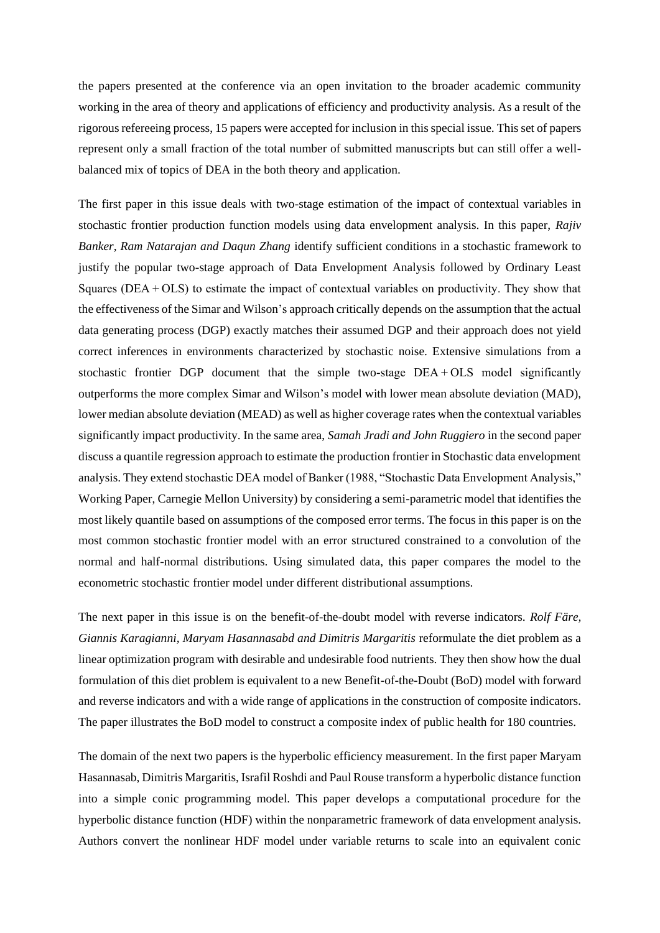the papers presented at the conference via an open invitation to the broader academic community working in the area of theory and applications of efficiency and productivity analysis. As a result of the rigorous refereeing process, 15 papers were accepted for inclusion in this special issue. This set of papers represent only a small fraction of the total number of submitted manuscripts but can still offer a wellbalanced mix of topics of DEA in the both theory and application.

The first paper in this issue deals with two-stage estimation of the impact of contextual variables in stochastic frontier production function models using data envelopment analysis. In this paper, *Rajiv Banker, Ram Natarajan and Daqun Zhang* identify sufficient conditions in a stochastic framework to justify the popular two-stage approach of Data Envelopment Analysis followed by Ordinary Least Squares (DEA + OLS) to estimate the impact of contextual variables on productivity. They show that the effectiveness of the Simar and Wilson's approach critically depends on the assumption that the actual data generating process (DGP) exactly matches their assumed DGP and their approach does not yield correct inferences in environments characterized by stochastic noise. Extensive simulations from a stochastic frontier DGP document that the simple two-stage DEA + OLS model significantly outperforms the more complex Simar and Wilson's model with lower mean absolute deviation (MAD), lower median absolute deviation (MEAD) as well as higher coverage rates when the contextual variables significantly impact productivity. In the same area, *Samah Jradi and John Ruggiero* in the second paper discuss a quantile regression approach to estimate the production frontier in Stochastic data envelopment analysis. They extend stochastic DEA model of Banker (1988, "Stochastic Data Envelopment Analysis," Working Paper, Carnegie Mellon University) by considering a semi-parametric model that identifies the most likely quantile based on assumptions of the composed error terms. The focus in this paper is on the most common stochastic frontier model with an error structured constrained to a convolution of the normal and half-normal distributions. Using simulated data, this paper compares the model to the econometric stochastic frontier model under different distributional assumptions.

The next paper in this issue is on the benefit-of-the-doubt model with reverse indicators. *Rolf Färe, Giannis Karagianni, Maryam Hasannasabd and Dimitris Margaritis* reformulate the diet problem as a linear optimization program with desirable and undesirable food nutrients. They then show how the dual formulation of this diet problem is equivalent to a new Benefit-of-the-Doubt (BoD) model with forward and reverse indicators and with a wide range of applications in the construction of composite indicators. The paper illustrates the BoD model to construct a composite index of public health for 180 countries.

The domain of the next two papers is the hyperbolic efficiency measurement. In the first paper Maryam Hasannasab, Dimitris Margaritis, Israfil Roshdi and Paul Rouse transform a hyperbolic distance function into a simple conic programming model. This paper develops a computational procedure for the hyperbolic distance function (HDF) within the nonparametric framework of data envelopment analysis. Authors convert the nonlinear HDF model under variable returns to scale into an equivalent conic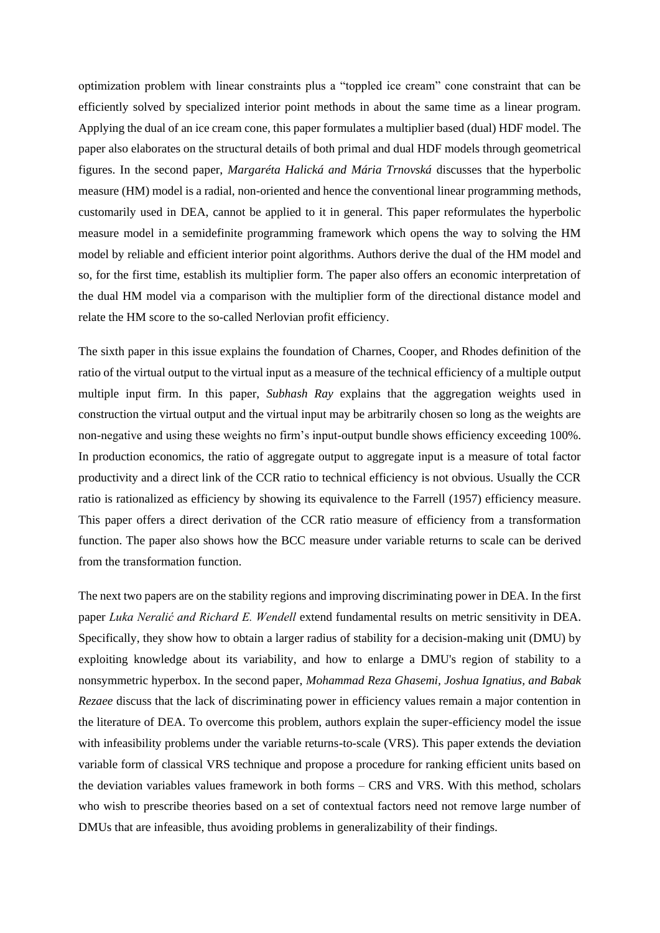optimization problem with linear constraints plus a "toppled ice cream" cone constraint that can be efficiently solved by specialized interior point methods in about the same time as a linear program. Applying the dual of an ice cream cone, this paper formulates a multiplier based (dual) HDF model. The paper also elaborates on the structural details of both primal and dual HDF models through geometrical figures. In the second paper, *Margaréta Halická and Mária Trnovská* discusses that the hyperbolic measure (HM) model is a radial, non-oriented and hence the conventional linear programming methods, customarily used in DEA, cannot be applied to it in general. This paper reformulates the hyperbolic measure model in a semidefinite programming framework which opens the way to solving the HM model by reliable and efficient interior point algorithms. Authors derive the dual of the HM model and so, for the first time, establish its multiplier form. The paper also offers an economic interpretation of the dual HM model via a comparison with the multiplier form of the directional distance model and relate the HM score to the so-called Nerlovian profit efficiency.

The sixth paper in this issue explains the foundation of Charnes, Cooper, and Rhodes definition of the ratio of the virtual output to the virtual input as a measure of the technical efficiency of a multiple output multiple input firm. In this paper, *Subhash Ray* explains that the aggregation weights used in construction the virtual output and the virtual input may be arbitrarily chosen so long as the weights are non-negative and using these weights no firm's input-output bundle shows efficiency exceeding 100%. In production economics, the ratio of aggregate output to aggregate input is a measure of total factor productivity and a direct link of the CCR ratio to technical efficiency is not obvious. Usually the CCR ratio is rationalized as efficiency by showing its equivalence to the Farrell (1957) efficiency measure. This paper offers a direct derivation of the CCR ratio measure of efficiency from a transformation function. The paper also shows how the BCC measure under variable returns to scale can be derived from the transformation function.

The next two papers are on the stability regions and improving discriminating power in DEA. In the first paper *Luka Neralić and Richard E. Wendell* extend fundamental results on metric sensitivity in DEA. Specifically, they show how to obtain a larger radius of stability for a decision-making unit (DMU) by exploiting knowledge about its variability, and how to enlarge a DMU's region of stability to a nonsymmetric hyperbox. In the second paper, *Mohammad Reza Ghasemi, Joshua Ignatius, and Babak Rezaee* discuss that the lack of discriminating power in efficiency values remain a major contention in the literature of DEA. To overcome this problem, authors explain the super-efficiency model the issue with infeasibility problems under the variable returns-to-scale (VRS). This paper extends the deviation variable form of classical VRS technique and propose a procedure for ranking efficient units based on the deviation variables values framework in both forms – CRS and VRS. With this method, scholars who wish to prescribe theories based on a set of contextual factors need not remove large number of DMUs that are infeasible, thus avoiding problems in generalizability of their findings.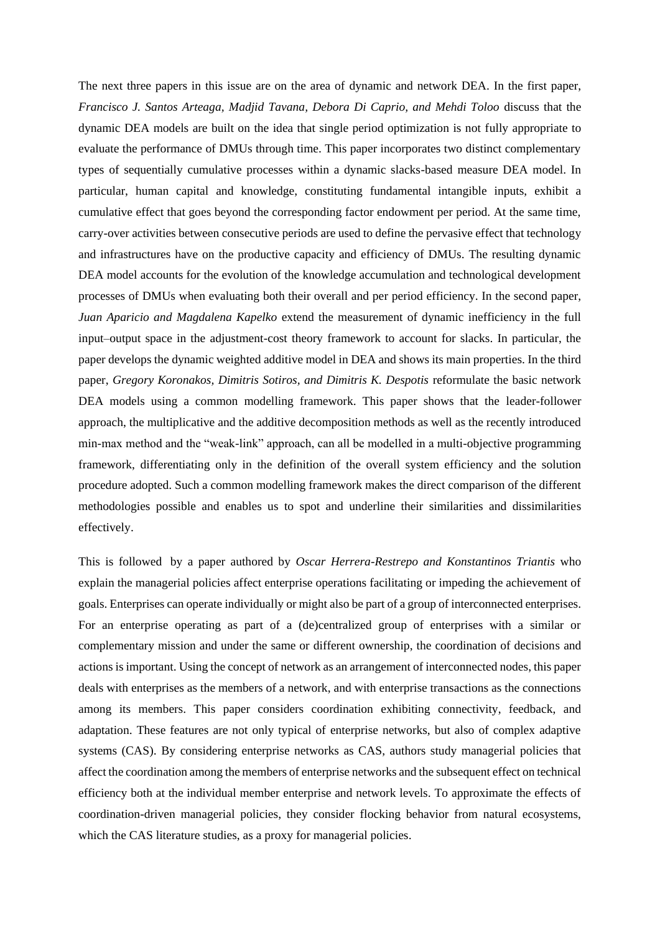The next three papers in this issue are on the area of dynamic and network DEA. In the first paper, *Francisco J. Santos Arteaga, Madjid Tavana, Debora Di Caprio, and Mehdi Toloo* discuss that the dynamic DEA models are built on the idea that single period optimization is not fully appropriate to evaluate the performance of DMUs through time. This paper incorporates two distinct complementary types of sequentially cumulative processes within a dynamic slacks-based measure DEA model. In particular, human capital and knowledge, constituting fundamental intangible inputs, exhibit a cumulative effect that goes beyond the corresponding factor endowment per period. At the same time, carry-over activities between consecutive periods are used to define the pervasive effect that technology and infrastructures have on the productive capacity and efficiency of DMUs. The resulting dynamic DEA model accounts for the evolution of the knowledge accumulation and technological development processes of DMUs when evaluating both their overall and per period efficiency. In the second paper, *Juan Aparicio and Magdalena Kapelko* extend the measurement of dynamic inefficiency in the full input–output space in the adjustment-cost theory framework to account for slacks. In particular, the paper develops the dynamic weighted additive model in DEA and shows its main properties. In the third paper, *Gregory Koronakos, Dimitris Sotiros, and Dimitris K. Despotis reformulate the basic network* DEA models using a common modelling framework. This paper shows that the leader-follower approach, the multiplicative and the additive decomposition methods as well as the recently introduced min-max method and the "weak-link" approach, can all be modelled in a multi-objective programming framework, differentiating only in the definition of the overall system efficiency and the solution procedure adopted. Such a common modelling framework makes the direct comparison of the different methodologies possible and enables us to spot and underline their similarities and dissimilarities effectively.

This is followed by a paper authored by *Oscar Herrera-Restrepo and Konstantinos Triantis* who explain the managerial policies affect enterprise operations facilitating or impeding the achievement of goals. Enterprises can operate individually or might also be part of a group of interconnected enterprises. For an enterprise operating as part of a (de)centralized group of enterprises with a similar or complementary mission and under the same or different ownership, the coordination of decisions and actions is important. Using the concept of network as an arrangement of interconnected nodes, this paper deals with enterprises as the members of a network, and with enterprise transactions as the connections among its members. This paper considers coordination exhibiting connectivity, feedback, and adaptation. These features are not only typical of enterprise networks, but also of complex adaptive systems (CAS). By considering enterprise networks as CAS, authors study managerial policies that affect the coordination among the members of enterprise networks and the subsequent effect on technical efficiency both at the individual member enterprise and network levels. To approximate the effects of coordination-driven managerial policies, they consider flocking behavior from natural ecosystems, which the CAS literature studies, as a proxy for managerial policies.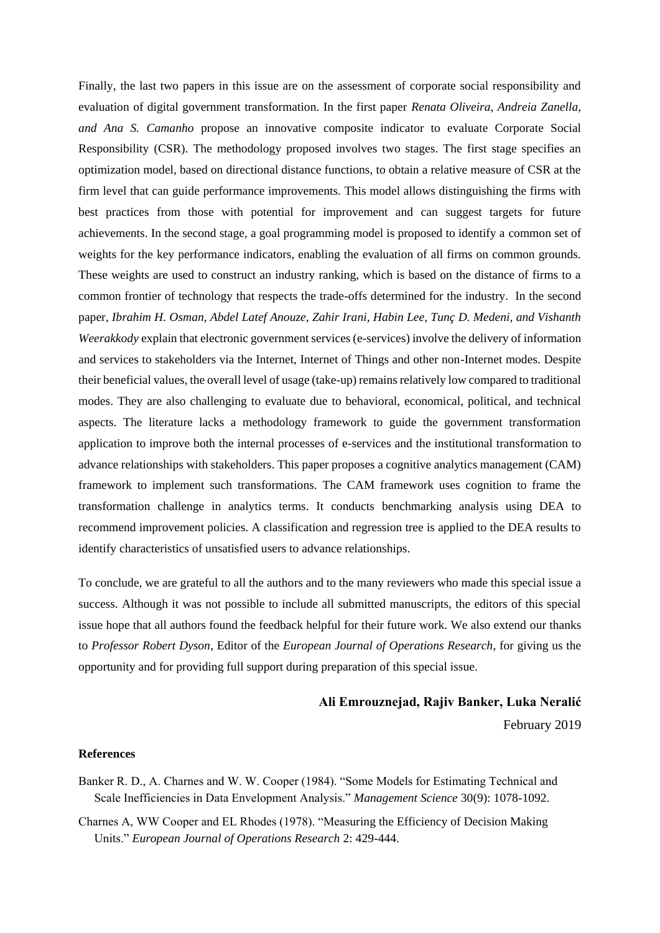Finally, the last two papers in this issue are on the assessment of corporate social responsibility and evaluation of digital government transformation. In the first paper *Renata Oliveira, Andreia Zanella, and Ana S. Camanho* propose an innovative composite indicator to evaluate Corporate Social Responsibility (CSR). The methodology proposed involves two stages. The first stage specifies an optimization model, based on directional distance functions, to obtain a relative measure of CSR at the firm level that can guide performance improvements. This model allows distinguishing the firms with best practices from those with potential for improvement and can suggest targets for future achievements. In the second stage, a goal programming model is proposed to identify a common set of weights for the key performance indicators, enabling the evaluation of all firms on common grounds. These weights are used to construct an industry ranking, which is based on the distance of firms to a common frontier of technology that respects the trade-offs determined for the industry. In the second paper, *Ibrahim H. Osman, Abdel Latef Anouze, Zahir Irani, Habin Lee, Tunç D. Medeni, and Vishanth Weerakkody* explain that electronic government services (e-services) involve the delivery of information and services to stakeholders via the Internet, Internet of Things and other non-Internet modes. Despite their beneficial values, the overall level of usage (take-up) remains relatively low compared to traditional modes. They are also challenging to evaluate due to behavioral, economical, political, and technical aspects. The literature lacks a methodology framework to guide the government transformation application to improve both the internal processes of e-services and the institutional transformation to advance relationships with stakeholders. This paper proposes a cognitive analytics management (CAM) framework to implement such transformations. The CAM framework uses cognition to frame the transformation challenge in analytics terms. It conducts benchmarking analysis using DEA to recommend improvement policies. A classification and regression tree is applied to the DEA results to identify characteristics of unsatisfied users to advance relationships.

To conclude, we are grateful to all the authors and to the many reviewers who made this special issue a success. Although it was not possible to include all submitted manuscripts, the editors of this special issue hope that all authors found the feedback helpful for their future work. We also extend our thanks to *Professor Robert Dyson*, Editor of the *European Journal of Operations Research*, for giving us the opportunity and for providing full support during preparation of this special issue.

## **Ali Emrouznejad, Rajiv Banker, Luka Neralić**

February 2019

## **References**

- Banker R. D., A. Charnes and W. W. Cooper (1984). "Some Models for Estimating Technical and Scale Inefficiencies in Data Envelopment Analysis." *Management Science* 30(9): 1078-1092.
- Charnes A, WW Cooper and EL Rhodes (1978). "Measuring the Efficiency of Decision Making Units." *European Journal of Operations Research* 2: 429-444.